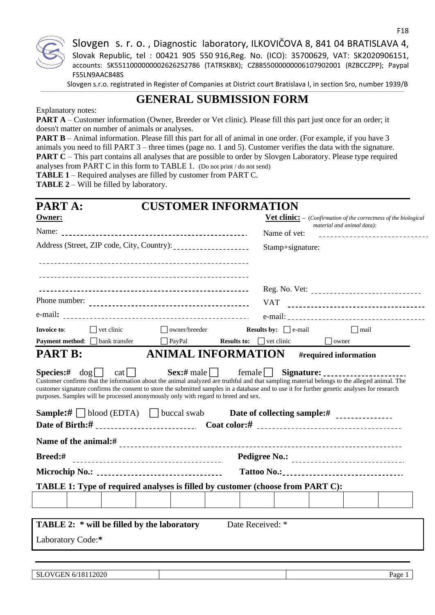

Slovgen s.r.o. registrated in Register of Companies at District court Bratislava I, in section Sro, number 1939/B

#### **\_\_\_\_\_\_\_\_\_\_\_\_\_\_\_\_\_\_\_\_\_\_\_\_\_\_\_\_\_\_\_\_\_\_\_\_\_\_\_\_\_\_\_\_\_\_\_\_\_\_\_\_\_\_\_\_\_\_\_\_\_\_\_\_\_\_\_\_\_\_\_\_\_\_\_\_\_\_\_\_\_\_\_\_\_\_\_\_\_\_\_\_\_\_\_\_\_\_\_\_\_\_\_\_\_\_\_\_\_\_\_\_\_\_\_\_\_\_\_\_\_\_\_\_\_\_\_\_\_\_\_\_\_\_\_\_\_\_\_\_\_\_\_\_\_\_\_\_\_\_\_\_\_\_\_\_\_\_\_\_\_\_\_\_\_\_\_\_\_\_\_\_\_\_\_\_\_\_\_\_\_\_\_\_\_\_\_\_\_\_\_\_\_\_\_\_\_\_\_\_\_\_\_\_\_\_\_\_\_\_\_\_\_\_\_\_\_\_\_\_\_\_\_\_\_\_\_\_\_\_\_\_\_\_\_\_\_\_\_\_\_\_\_\_\_\_\_\_\_ GENERAL SUBMISSION FORM**

## Explanatory notes:

**PART A** – Customer information (Owner, Breeder or Vet clinic). Please fill this part just once for an order; it doesn't matter on number of animals or analyses.

**PART B** – Animal information. Please fill this part for all of animal in one order. (For example, if you have 3 animals you need to fill PART 3 – three times (page no. 1 and 5). Customer verifies the data with the signature. **PART C** – This part contains all analyses that are possible to order by Slovgen Laboratory. Please type required analyses from PART C in this form to TABLE 1. (Do not print / do not send)

**TABLE 1** – Required analyses are filled by customer from PART C.

**TABLE 2** – Will be filled by laboratory.

| <b>PART A:</b>                                  | <b>CUSTOMER INFORMATION</b>                                                        |
|-------------------------------------------------|------------------------------------------------------------------------------------|
| <b>Owner:</b>                                   | <b>Vet clinic:</b> - (Confirmation of the correctness of the biological            |
|                                                 | material and animal data):<br>Name of vet:<br>-----------------------------        |
|                                                 | Stamp+signature:                                                                   |
|                                                 |                                                                                    |
|                                                 |                                                                                    |
|                                                 |                                                                                    |
|                                                 | <b>VAT</b><br>------------------------------------                                 |
|                                                 |                                                                                    |
| $\Box$ vet clinic<br>Invoice to:                | $\Box$ owner/breeder<br><b>Results by:</b> $\Box$ e-mail<br>$\Box$ mail            |
| <b>Payment method:</b> □ bank transfer □ PayPal | <b>Results to:</b> $\Box$ vet clinic $\Box$ owner                                  |
| <b>PART B:</b>                                  | <b>ANIMAL INFORMATION</b><br>#required information                                 |
| <b>Sample:</b> # blood (EDTA) buccal swab       | purposes. Samples will be processed anonymously only with regard to breed and sex. |
|                                                 |                                                                                    |
| Breed:#                                         |                                                                                    |
|                                                 |                                                                                    |
|                                                 | TABLE 1: Type of required analyses is filled by customer (choose from PART C):     |
|                                                 |                                                                                    |
|                                                 |                                                                                    |
| TABLE 2: * will be filled by the laboratory     | Date Received: *                                                                   |
| Laboratory Code:*                               |                                                                                    |
|                                                 |                                                                                    |
|                                                 |                                                                                    |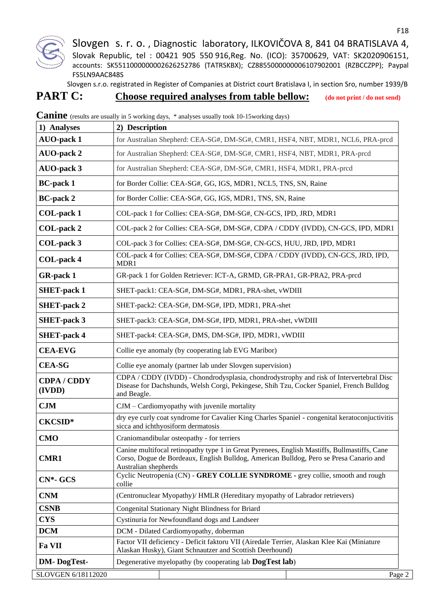

Slovgen s.r.o. registrated in Register of Companies at District court Bratislava I, in section Sro, number 1939/B

# **PART C:** Choose required analyses from table bellow: (do not print / do not send)

| 1) Analyses                | 2) Description                                                                                                                                                                                                 |
|----------------------------|----------------------------------------------------------------------------------------------------------------------------------------------------------------------------------------------------------------|
| <b>AUO-pack 1</b>          | for Australian Shepherd: CEA-SG#, DM-SG#, CMR1, HSF4, NBT, MDR1, NCL6, PRA-prcd                                                                                                                                |
| <b>AUO-pack 2</b>          | for Australian Shepherd: CEA-SG#, DM-SG#, CMR1, HSF4, NBT, MDR1, PRA-prcd                                                                                                                                      |
| <b>AUO-pack 3</b>          | for Australian Shepherd: CEA-SG#, DM-SG#, CMR1, HSF4, MDR1, PRA-prcd                                                                                                                                           |
| <b>BC-pack 1</b>           | for Border Collie: CEA-SG#, GG, IGS, MDR1, NCL5, TNS, SN, Raine                                                                                                                                                |
| <b>BC-pack 2</b>           | for Border Collie: CEA-SG#, GG, IGS, MDR1, TNS, SN, Raine                                                                                                                                                      |
| COL-pack 1                 | COL-pack 1 for Collies: CEA-SG#, DM-SG#, CN-GCS, IPD, JRD, MDR1                                                                                                                                                |
| COL-pack 2                 | COL-pack 2 for Collies: CEA-SG#, DM-SG#, CDPA / CDDY (IVDD), CN-GCS, IPD, MDR1                                                                                                                                 |
| COL-pack 3                 | COL-pack 3 for Collies: CEA-SG#, DM-SG#, CN-GCS, HUU, JRD, IPD, MDR1                                                                                                                                           |
| COL-pack 4                 | COL-pack 4 for Collies: CEA-SG#, DM-SG#, CDPA / CDDY (IVDD), CN-GCS, JRD, IPD,<br>MDR1                                                                                                                         |
| <b>GR-pack 1</b>           | GR-pack 1 for Golden Retriever: ICT-A, GRMD, GR-PRA1, GR-PRA2, PRA-prcd                                                                                                                                        |
| <b>SHET-pack 1</b>         | SHET-pack1: CEA-SG#, DM-SG#, MDR1, PRA-shet, vWDIII                                                                                                                                                            |
| <b>SHET-pack 2</b>         | SHET-pack2: CEA-SG#, DM-SG#, IPD, MDR1, PRA-shet                                                                                                                                                               |
| <b>SHET-pack 3</b>         | SHET-pack3: CEA-SG#, DM-SG#, IPD, MDR1, PRA-shet, vWDIII                                                                                                                                                       |
| <b>SHET-pack 4</b>         | SHET-pack4: CEA-SG#, DMS, DM-SG#, IPD, MDR1, vWDIII                                                                                                                                                            |
| <b>CEA-EVG</b>             | Collie eye anomaly (by cooperating lab EVG Maribor)                                                                                                                                                            |
| <b>CEA-SG</b>              | Collie eye anomaly (partner lab under Slovgen supervision)                                                                                                                                                     |
| <b>CDPA/CDDY</b><br>(IVDD) | CDPA / CDDY (IVDD) - Chondrodysplasia, chondrodystrophy and risk of Intervertebral Disc<br>Disease for Dachshunds, Welsh Corgi, Pekingese, Shih Tzu, Cocker Spaniel, French Bulldog<br>and Beagle.             |
| CJM                        | $CJM - \text{Cardiomyopathy with juvenile mortality}$                                                                                                                                                          |
| <b>CKCSID*</b>             | dry eye curly coat syndrome for Cavalier King Charles Spaniel - congenital keratoconjuctivitis<br>sicca and ichthyosiform dermatosis                                                                           |
| <b>CMO</b>                 | Craniomandibular osteopathy - for terriers                                                                                                                                                                     |
| <b>CMR1</b>                | Canine multifocal retinopathy type 1 in Great Pyrenees, English Mastiffs, Bullmastiffs, Cane<br>Corso, Dogue de Bordeaux, English Bulldog, American Bulldog, Pero se Presa Canario and<br>Australian shepherds |
| $CN*-GCS$                  | Cyclic Neutropenia (CN) - GREY COLLIE SYNDROME - grey collie, smooth and rough<br>collie                                                                                                                       |
| <b>CNM</b>                 | (Centronuclear Myopathy)/ HMLR (Hereditary myopathy of Labrador retrievers)                                                                                                                                    |
| <b>CSNB</b>                | Congenital Stationary Night Blindness for Briard                                                                                                                                                               |
| <b>CYS</b>                 | Cystinuria for Newfoundland dogs and Landseer                                                                                                                                                                  |
| <b>DCM</b>                 | DCM - Dilated Cardiomyopathy, doberman                                                                                                                                                                         |
| <b>Fa VII</b>              | Factor VII deficiency - Deficit faktoru VII (Airedale Terrier, Alaskan Klee Kai (Miniature<br>Alaskan Husky), Giant Schnautzer and Scottish Deerhound)                                                         |
| <b>DM-DogTest-</b>         | Degenerative myelopathy (by cooperating lab <b>DogTest lab</b> )                                                                                                                                               |

**Canine** (results are usually in 5 working days, \* analyses usually took 10-15working days)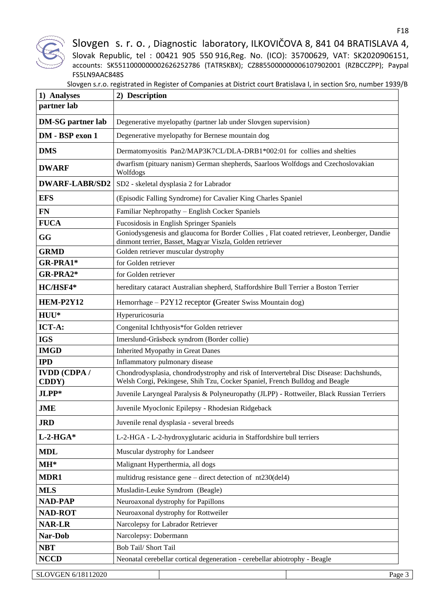

| Slovgen s.r.o. registrated in Register of Companies at District court Bratislava I, in section Sro, number 1939/B |  |
|-------------------------------------------------------------------------------------------------------------------|--|
|                                                                                                                   |  |

| 1) Analyses                  | 2) Description                                                                                                                                                         |
|------------------------------|------------------------------------------------------------------------------------------------------------------------------------------------------------------------|
| partner lab                  |                                                                                                                                                                        |
| <b>DM-SG</b> partner lab     | Degenerative myelopathy (partner lab under Slovgen supervision)                                                                                                        |
| DM - BSP exon 1              | Degenerative myelopathy for Bernese mountain dog                                                                                                                       |
| <b>DMS</b>                   | Dermatomyositis Pan2/MAP3K7CL/DLA-DRB1*002:01 for collies and shelties                                                                                                 |
| <b>DWARF</b>                 | dwarfism (pituary nanism) German shepherds, Saarloos Wolfdogs and Czechoslovakian<br>Wolfdogs                                                                          |
| <b>DWARF-LABR/SD2</b>        | SD2 - skeletal dysplasia 2 for Labrador                                                                                                                                |
| <b>EFS</b>                   | (Episodic Falling Syndrome) for Cavalier King Charles Spaniel                                                                                                          |
| <b>FN</b>                    | Familiar Nephropathy - English Cocker Spaniels                                                                                                                         |
| <b>FUCA</b>                  | Fucosidosis in English Springer Spaniels                                                                                                                               |
| GG                           | Goniodysgenesis and glaucoma for Border Collies, Flat coated retriever, Leonberger, Dandie<br>dinmont terrier, Basset, Magyar Viszla, Golden retriever                 |
| <b>GRMD</b>                  | Golden retriever muscular dystrophy                                                                                                                                    |
| GR-PRA1*                     | for Golden retriever                                                                                                                                                   |
| GR-PRA2*                     | for Golden retriever                                                                                                                                                   |
| HC/HSF4*                     | hereditary cataract Australian shepherd, Staffordshire Bull Terrier a Boston Terrier                                                                                   |
| HEM-P2Y12                    | Hemorrhage - P2Y12 receptor (Greater Swiss Mountain dog)                                                                                                               |
| $HUU*$                       | Hyperuricosuria                                                                                                                                                        |
| ICT-A:                       | Congenital Ichthyosis*for Golden retriever                                                                                                                             |
| <b>IGS</b>                   | Imerslund-Gräsbeck syndrom (Border collie)                                                                                                                             |
| <b>IMGD</b>                  | <b>Inherited Myopathy in Great Danes</b>                                                                                                                               |
| <b>IPD</b>                   | Inflammatory pulmonary disease                                                                                                                                         |
| <b>IVDD</b> (CDPA /<br>CDDY) | Chondrodysplasia, chondrodystrophy and risk of Intervertebral Disc Disease: Dachshunds,<br>Welsh Corgi, Pekingese, Shih Tzu, Cocker Spaniel, French Bulldog and Beagle |
| JLPP*                        | Juvenile Laryngeal Paralysis & Polyneuropathy (JLPP) - Rottweiler, Black Russian Terriers                                                                              |
| <b>JME</b>                   | Juvenile Myoclonic Epilepsy - Rhodesian Ridgeback                                                                                                                      |
| <b>JRD</b>                   | Juvenile renal dysplasia - several breeds                                                                                                                              |
| $L-2-HGA*$                   | L-2-HGA - L-2-hydroxyglutaric aciduria in Staffordshire bull terriers                                                                                                  |
| <b>MDL</b>                   | Muscular dystrophy for Landseer                                                                                                                                        |
| $MH^*$                       | Malignant Hyperthermia, all dogs                                                                                                                                       |
| MDR1                         | multidrug resistance gene $-$ direct detection of $nt230$ (del4)                                                                                                       |
| <b>MLS</b>                   | Musladin-Leuke Syndrom (Beagle)                                                                                                                                        |
| <b>NAD-PAP</b>               | Neuroaxonal dystrophy for Papillons                                                                                                                                    |
| <b>NAD-ROT</b>               | Neuroaxonal dystrophy for Rottweiler                                                                                                                                   |
| <b>NAR-LR</b>                | Narcolepsy for Labrador Retriever                                                                                                                                      |
| Nar-Dob                      | Narcolepsy: Dobermann                                                                                                                                                  |
| <b>NBT</b>                   | <b>Bob Tail/ Short Tail</b>                                                                                                                                            |
| <b>NCCD</b>                  | Neonatal cerebellar cortical degeneration - cerebellar abiotrophy - Beagle                                                                                             |
|                              |                                                                                                                                                                        |
| SLOVGEN 6/18112020           | Page 3                                                                                                                                                                 |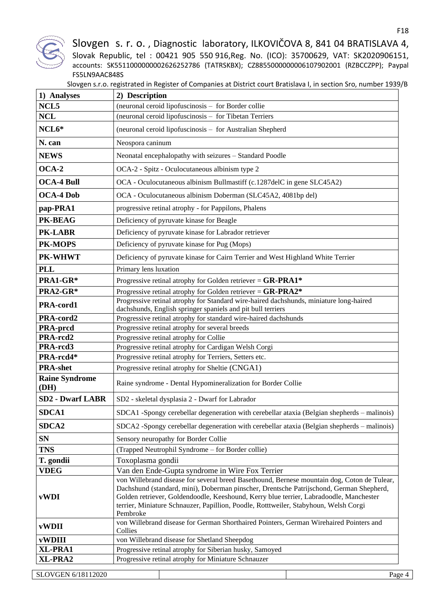

| 1) Analyses                   | 2) Description                                                                                                                                                                                                                                                                                                                                                                       |
|-------------------------------|--------------------------------------------------------------------------------------------------------------------------------------------------------------------------------------------------------------------------------------------------------------------------------------------------------------------------------------------------------------------------------------|
| NCL <sub>5</sub>              | (neuronal ceroid lipofuscinosis - for Border collie                                                                                                                                                                                                                                                                                                                                  |
| <b>NCL</b>                    | (neuronal ceroid lipofuscinosis - for Tibetan Terriers                                                                                                                                                                                                                                                                                                                               |
| NCL6*                         | (neuronal ceroid lipofuscinosis - for Australian Shepherd                                                                                                                                                                                                                                                                                                                            |
| N. can                        | Neospora caninum                                                                                                                                                                                                                                                                                                                                                                     |
| <b>NEWS</b>                   | Neonatal encephalopathy with seizures - Standard Poodle                                                                                                                                                                                                                                                                                                                              |
| $OCA-2$                       | OCA-2 - Spitz - Oculocutaneous albinism type 2                                                                                                                                                                                                                                                                                                                                       |
| <b>OCA-4 Bull</b>             | OCA - Oculocutaneous albinism Bullmastiff (c.1287delC in gene SLC45A2)                                                                                                                                                                                                                                                                                                               |
| <b>OCA-4 Dob</b>              | OCA - Oculocutaneous albinism Doberman (SLC45A2, 4081bp del)                                                                                                                                                                                                                                                                                                                         |
| pap-PRA1                      | progressive retinal atrophy - for Pappilons, Phalens                                                                                                                                                                                                                                                                                                                                 |
| PK-BEAG                       | Deficiency of pyruvate kinase for Beagle                                                                                                                                                                                                                                                                                                                                             |
| PK-LABR                       | Deficiency of pyruvate kinase for Labrador retriever                                                                                                                                                                                                                                                                                                                                 |
| <b>PK-MOPS</b>                | Deficiency of pyruvate kinase for Pug (Mops)                                                                                                                                                                                                                                                                                                                                         |
| <b>PK-WHWT</b>                | Deficiency of pyruvate kinase for Cairn Terrier and West Highland White Terrier                                                                                                                                                                                                                                                                                                      |
| <b>PLL</b>                    | Primary lens luxation                                                                                                                                                                                                                                                                                                                                                                |
| PRA1-GR*                      | Progressive retinal atrophy for Golden retriever = $\text{GR-PAR1*}$                                                                                                                                                                                                                                                                                                                 |
| PRA2-GR*                      | Progressive retinal atrophy for Golden retriever = $GR-PRA2*$                                                                                                                                                                                                                                                                                                                        |
| PRA-cord1                     | Progressive retinal atrophy for Standard wire-haired dachshunds, miniature long-haired<br>dachshunds, English springer spaniels and pit bull terriers                                                                                                                                                                                                                                |
| PRA-cord2                     | Progressive retinal atrophy for standard wire-haired dachshunds                                                                                                                                                                                                                                                                                                                      |
| <b>PRA-prcd</b>               | Progressive retinal atrophy for several breeds                                                                                                                                                                                                                                                                                                                                       |
| PRA-rcd2                      | Progressive retinal atrophy for Collie                                                                                                                                                                                                                                                                                                                                               |
| PRA-rcd3                      | Progressive retinal atrophy for Cardigan Welsh Corgi                                                                                                                                                                                                                                                                                                                                 |
| PRA-rcd4*                     | Progressive retinal atrophy for Terriers, Setters etc.                                                                                                                                                                                                                                                                                                                               |
| <b>PRA-shet</b>               | Progressive retinal atrophy for Sheltie (CNGA1)                                                                                                                                                                                                                                                                                                                                      |
| <b>Raine Syndrome</b><br>(DH) | Raine syndrome - Dental Hypomineralization for Border Collie                                                                                                                                                                                                                                                                                                                         |
| <b>SD2 - Dwarf LABR</b>       | SD2 - skeletal dysplasia 2 - Dwarf for Labrador                                                                                                                                                                                                                                                                                                                                      |
| SDCA1                         | SDCA1 -Spongy cerebellar degeneration with cerebellar ataxia (Belgian shepherds – malinois)                                                                                                                                                                                                                                                                                          |
| SDCA <sub>2</sub>             | SDCA2 -Spongy cerebellar degeneration with cerebellar ataxia (Belgian shepherds – malinois)                                                                                                                                                                                                                                                                                          |
| <b>SN</b>                     | Sensory neuropathy for Border Collie                                                                                                                                                                                                                                                                                                                                                 |
| <b>TNS</b>                    | (Trapped Neutrophil Syndrome – for Border collie)                                                                                                                                                                                                                                                                                                                                    |
| T. gondii                     | Toxoplasma gondii                                                                                                                                                                                                                                                                                                                                                                    |
| <b>VDEG</b>                   | Van den Ende-Gupta syndrome in Wire Fox Terrier                                                                                                                                                                                                                                                                                                                                      |
| vWDI                          | von Willebrand disease for several breed Basethound, Bernese mountain dog, Coton de Tulear,<br>Dachshund (standard, mini), Doberman pinscher, Drentsche Patrijschond, German Shepherd,<br>Golden retriever, Goldendoodle, Keeshound, Kerry blue terrier, Labradoodle, Manchester<br>terrier, Miniature Schnauzer, Papillion, Poodle, Rotttweiler, Stabyhoun, Welsh Corgi<br>Pembroke |
| vWDII                         | von Willebrand disease for German Shorthaired Pointers, German Wirehaired Pointers and<br>Collies                                                                                                                                                                                                                                                                                    |
| <b>vWDIII</b>                 | von Willebrand disease for Shetland Sheepdog                                                                                                                                                                                                                                                                                                                                         |
| XL-PRA1                       | Progressive retinal atrophy for Siberian husky, Samoyed                                                                                                                                                                                                                                                                                                                              |
| XL-PRA2                       | Progressive retinal atrophy for Miniature Schnauzer                                                                                                                                                                                                                                                                                                                                  |